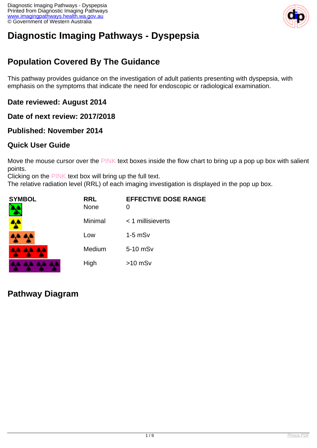

# **Diagnostic Imaging Pathways - Dyspepsia**

## **Population Covered By The Guidance**

This pathway provides guidance on the investigation of adult patients presenting with dyspepsia, with emphasis on the symptoms that indicate the need for endoscopic or radiological examination.

### **Date reviewed: August 2014**

#### **Date of next review: 2017/2018**

#### **Published: November 2014**

### **Quick User Guide**

Move the mouse cursor over the PINK text boxes inside the flow chart to bring up a pop up box with salient points.

Clicking on the PINK text box will bring up the full text.

The relative radiation level (RRL) of each imaging investigation is displayed in the pop up box.

| <b>SYMBOL</b> | <b>RRL</b><br><b>None</b> | <b>EFFECTIVE DOSE RANGE</b><br>0 |
|---------------|---------------------------|----------------------------------|
| 4             | Minimal                   | $<$ 1 millisieverts              |
| 4,4 4,4       | Low                       | $1-5$ mSv                        |
| 4A 4A 4A      | Medium                    | 5-10 mSv                         |
|               | High                      | $>10$ mSv                        |

### **Pathway Diagram**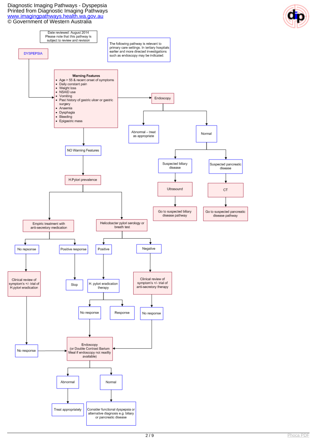Diagnostic Imaging Pathways - Dyspepsia Printed from Diagnostic Imaging Pathways [www.imagingpathways.health.wa.gov.au](http://www.imagingpathways.health.wa.gov.au/) © Government of Western Australia



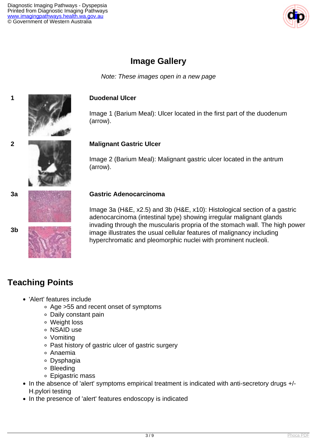

### **Image Gallery**

Note: These images open in a new page

#### **1 Duodenal Ulcer**

Image 1 (Barium Meal): Ulcer located in the first part of the duodenum (arrow).

#### **2 Malignant Gastric Ulcer**

Image 2 (Barium Meal): Malignant gastric ulcer located in the antrum (arrow).

#### **3a Gastric Adenocarcinoma**

Image 3a (H&E, x2.5) and 3b (H&E, x10): Histological section of a gastric adenocarcinoma (intestinal type) showing irregular malignant glands invading through the muscularis propria of the stomach wall. The high power image illustrates the usual cellular features of malignancy including hyperchromatic and pleomorphic nuclei with prominent nucleoli.

### **Teaching Points**

- 'Alert' features include
	- Age >55 and recent onset of symptoms
	- Daily constant pain
	- Weight loss
	- o NSAID use
	- Vomiting
	- Past history of gastric ulcer of gastric surgery
	- Anaemia
	- Dysphagia
	- Bleeding
	- Epigastric mass
- In the absence of 'alert' symptoms empirical treatment is indicated with anti-secretory drugs +/-H.pylori testing
- In the presence of 'alert' features endoscopy is indicated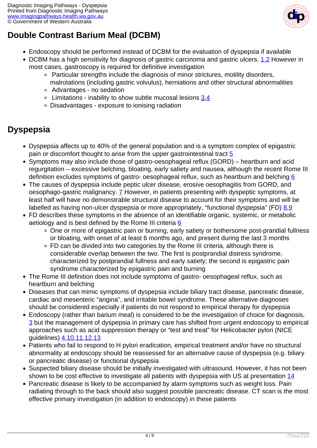

## **Double Contrast Barium Meal (DCBM)**

- Endoscopy should be performed instead of DCBM for the evaluation of dyspepsia if available
- DCBM has a high sensitivity for diagnosis of gastric carcinoma and gastric ulcers.  $1,2$  $1,2$  $1,2$  However in most cases, gastroscopy is required for definitive investigation
	- Particular strengths include the diagnosis of minor strictures, motility disorders, malrotations (including gastric volvulus), herniations and other structural abnormalities
	- Advantages no sedation
	- Limitations inability to show subtle mucosal lesions [3](index.php?option=com_content&view=article&id=37&tab=references#3),[4](index.php?option=com_content&view=article&id=37&tab=references#4)
	- Disadvantages exposure to ionising radiation

## **Dyspepsia**

- Dyspepsia affects up to 40% of the general population and is a symptom complex of epigastric pain or discomfort thought to arise from the upper gastrointestinal tract [5](index.php?option=com_content&view=article&id=37&tab=references#5)
- Symptoms may also include those of gastro-oesophageal reflux (GORD) heartburn and acid regurgitation – excessive belching, bloating, early satiety and nausea, although the recent Rome III definition excludes symptoms of gastro- oesophageal reflux, such as heartburn and belching [6](index.php?option=com_content&view=article&id=37&tab=references#6)
- The causes of dyspepsia include peptic ulcer disease, erosive oesophagitis from GORD, and oesophago-gastric malignancy. [7](index.php?option=com_content&view=article&id=37&tab=references#7) However, in patients presenting with dyspeptic symptoms, at least half will have no demonstrable structural disease to account for their symptoms and will be labelled as having non-ulcer dyspepsia or more appropriately, "functional dyspepsia" (FD) [8](index.php?option=com_content&view=article&id=37&tab=references#8)[,9](index.php?option=com_content&view=article&id=37&tab=references#9)
- FD describes these symptoms in the absence of an identifiable organic, systemic, or metabolic aetiology and is best defined by the Rome III criteria  $6$ 
	- One or more of epigastric pain or burning, early satiety or bothersome post-prandial fullness or bloating, with onset of at least 6 months ago, and present during the last 3 months
	- FD can be divided into two categories by the Rome III criteria, although there is considerable overlap between the two. The first is postprandial distress syndrome, characterized by postprandial fullness and early satiety; the second is epigastric pain syndrome characterized by epigastric pain and burning
- The Rome III definition does not include symptoms of gastro- oesophageal reflux, such as heartburn and belching
- Diseases that can mimic symptoms of dyspepsia include biliary tract disease, pancreatic disease, cardiac and mesenteric "angina", and irritable bowel syndrome. These alternative diagnoses should be considered especially if patients do not respond to empirical therapy for dyspepsia
- Endoscopy (rather than barium meal) is considered to be the investigation of choice for diagnosis, [3](index.php?option=com_content&view=article&id=37&tab=references#3) but the management of dyspepsia in primary care has shifted from urgent endoscopy to empirical approaches such as acid suppression therapy or "test and treat" for Helicobacter pylori (NICE guidelines) [4](index.php?option=com_content&view=article&id=37&tab=references#4),[10](index.php?option=com_content&view=article&id=37&tab=references#10)[,11,](index.php?option=com_content&view=article&id=37&tab=references#11)[12](index.php?option=com_content&view=article&id=37&tab=references#12),[13](index.php?option=com_content&view=article&id=37&tab=references#13)
- Patients who fail to respond to H pylori eradication, empirical treatment and/or have no structural abnormality at endoscopy should be reassessed for an alternative cause of dyspepsia (e.g. biliary or pancreatic disease) or functional dyspepsia
- Suspected biliary disease should be initially investigated with ultrasound. However, it has not been shown to be cost effective to investigate all patients with dyspepsia with US at presentation [14](index.php?option=com_content&view=article&id=37&tab=references#14)
- Pancreatic disease is likely to be accompanied by alarm symptoms such as weight loss. Pain radiating through to the back should also suggest possible pancreatic disease. CT scan is the most effective primary investigation (in addition to endoscopy) in these patients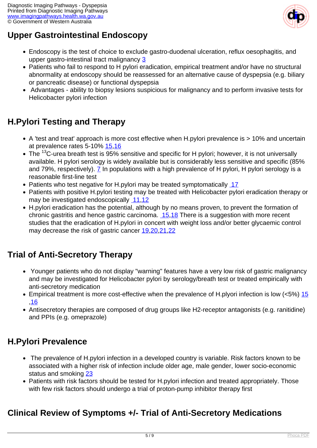

## **Upper Gastrointestinal Endoscopy**

- Endoscopy is the test of choice to exclude gastro-duodenal ulceration, reflux oesophagitis, and upper gastro-intestinal tract malignancy [3](index.php?option=com_content&view=article&id=37&tab=references#3)
- Patients who fail to respond to H pylori eradication, empirical treatment and/or have no structural abnormality at endoscopy should be reassessed for an alternative cause of dyspepsia (e.g. biliary or pancreatic disease) or functional dyspepsia
- Advantages ability to biopsy lesions suspicious for malignancy and to perform invasive tests for Helicobacter pylori infection

## **H.Pylori Testing and Therapy**

- A 'test and treat' approach is more cost effective when H.pylori prevalence is > 10% and uncertain at prevalence rates 5-10% [15](index.php?option=com_content&view=article&id=37&tab=references#15)[,16](index.php?option=com_content&view=article&id=37&tab=references#16)
- The  $^{13}$ C-urea breath test is 95% sensitive and specific for H pylori; however, it is not universally available. H pylori serology is widely available but is considerably less sensitive and specific (85% and 79%, respectively). [7](index.php?option=com_content&view=article&id=37&tab=references#7) In populations with a high prevalence of H pylori, H pylori serology is a reasonable first-line test
- Patients who test negative for H.pylori may be treated symptomatically [17](index.php?option=com_content&view=article&id=37&tab=references#17)
- Patients with positive H.pylori testing may be treated with Helicobacter pylori eradication therapy or may be investigated endoscopically [11](index.php?option=com_content&view=article&id=37&tab=references#11)[,12](index.php?option=com_content&view=article&id=37&tab=references#12)
- H.pylori eradication has the potential, although by no means proven, to prevent the formation of chronic gastritis and hence gastric carcinoma.  $15,18$  $15,18$  There is a suggestion with more recent studies that the eradication of H.pylori in concert with weight loss and/or better glycaemic control may decrease the risk of gastric cancer [19,](index.php?option=com_content&view=article&id=37&tab=references#19)[20](index.php?option=com_content&view=article&id=37&tab=references#20),[21](index.php?option=com_content&view=article&id=37&tab=references#21)[,22](index.php?option=com_content&view=article&id=37&tab=references#22)

## **Trial of Anti-Secretory Therapy**

- Younger patients who do not display "warning" features have a very low risk of gastric malignancy and may be investigated for Helicobacter pylori by serology/breath test or treated empirically with anti-secretory medication
- Empirical treatment is more cost-effective when the prevalence of H.plyori infection is low (<5%) [15](index.php?option=com_content&view=article&id=37&tab=references#15) ,[16](index.php?option=com_content&view=article&id=37&tab=references#16)
- Antisecretory therapies are composed of drug groups like H2-receptor antagonists (e.g. ranitidine) and PPIs (e.g. omeprazole)

## **H.Pylori Prevalence**

- The prevalence of H.pylori infection in a developed country is variable. Risk factors known to be associated with a higher risk of infection include older age, male gender, lower socio-economic status and smoking [23](index.php?option=com_content&view=article&id=37&tab=references#23)
- Patients with risk factors should be tested for H.pylori infection and treated appropriately. Those with few risk factors should undergo a trial of proton-pump inhibitor therapy first

### **Clinical Review of Symptoms +/- Trial of Anti-Secretory Medications**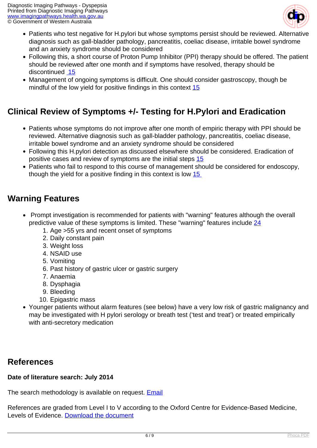

- Patients who test negative for H.pylori but whose symptoms persist should be reviewed. Alternative diagnosis such as gall-bladder pathology, pancreatitis, coeliac disease, irritable bowel syndrome and an anxiety syndrome should be considered
- Following this, a short course of Proton Pump Inhibitor (PPI) therapy should be offered. The patient should be reviewed after one month and if symptoms have resolved, therapy should be discontinued [15](index.php?option=com_content&view=article&id=37&tab=references#15)
- Management of ongoing symptoms is difficult. One should consider gastroscopy, though be mindful of the low yield for positive findings in this context [15](index.php?option=com_content&view=article&id=37&tab=references#15)

## **Clinical Review of Symptoms +/- Testing for H.Pylori and Eradication**

- Patients whose symptoms do not improve after one month of empiric therapy with PPI should be reviewed. Alternative diagnosis such as gall-bladder pathology, pancreatitis, coeliac disease, irritable bowel syndrome and an anxiety syndrome should be considered
- Following this H.pylori detection as discussed elsewhere should be considered. Eradication of positive cases and review of symptoms are the initial steps [15](index.php?option=com_content&view=article&id=37&tab=references#15)
- Patients who fail to respond to this course of management should be considered for endoscopy, though the yield for a positive finding in this context is low [15](index.php?option=com_content&view=article&id=37&tab=references#15)

### **Warning Features**

- Prompt investigation is recommended for patients with "warning" features although the overall predictive value of these symptoms is limited. These "warning" features include [24](index.php?option=com_content&view=article&id=37&tab=references#24)
	- 1. Age >55 yrs and recent onset of symptoms
	- 2. Daily constant pain
	- 3. Weight loss
	- 4. NSAID use
	- 5. Vomiting
	- 6. Past history of gastric ulcer or gastric surgery
	- 7. Anaemia
	- 8. Dysphagia
	- 9. Bleeding
	- 10. Epigastric mass
- Younger patients without alarm features (see below) have a very low risk of gastric malignancy and may be investigated with H pylori serology or breath test ('test and treat') or treated empirically with anti-secretory medication

### **References**

#### **Date of literature search: July 2014**

The search methodology is available on request. **[Email](index.php/contact-us)** 

References are graded from Level I to V according to the Oxford Centre for Evidence-Based Medicine, Levels of Evidence. [Download the document](http://www.cebm.net/wp-content/uploads/2014/06/CEBM-Levels-of-Evidence-2.1.pdf)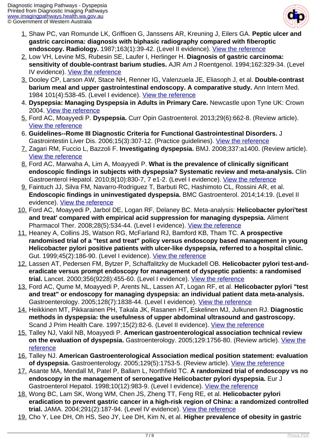

- 1. Shaw PC, van Romunde LK, Griffioen G, Janssens AR, Kreuning J, Eilers GA. **Peptic ulcer and gastric carcinoma: diagnosis with biphasic radiography compared with fiberoptic endoscopy. Radiology.** 1987;163(1):39-42. (Level II evidence). [View the reference](http://www.ncbi.nlm.nih.gov/pubmed/3823455)
- 2. Low VH, Levine MS, Rubesin SE, Laufer I, Herlinger H. **Diagnosis of gastric carcinoma: sensitivity of double-contrast barium studies.** AJR Am J Roentgenol. 1994;162:329-34. (Level IV evidence). [View the reference](http://www.ncbi.nlm.nih.gov/pubmed/8310920)
- 3. Dooley CP, Larson AW, Stace NH, Renner IG, Valenzuela JE, Eliasoph J, et al. **Double-contrast barium meal and upper gastrointestinal endoscopy. A comparative study.** Ann Intern Med. 1984 101(4):538-45. (Level I evidence). [View the reference](http://www.ncbi.nlm.nih.gov/pubmed/6383166)
- 4. **Dyspepsia: Managing Dyspepsia in Adults in Primary Care.** Newcastle upon Tyne UK: Crown 2004. [View the reference](http://www.ncbi.nlm.nih.gov/pubmed/21678625)
- 5. Ford AC, Moayyedi P. **Dyspepsia.** Curr Opin Gastroenterol. 2013;29(6):662-8. (Review article). [View the reference](http://www.ncbi.nlm.nih.gov/pubmed/24100727)
- 6. **Guidelines--Rome III Diagnostic Criteria for Functional Gastrointestinal Disorders.** J Gastrointestin Liver Dis. 2006;15(3):307-12. (Practice guidelines). [View the reference](http://www.ncbi.nlm.nih.gov/pubmed/17203570)
- 7. Zagari RM, Fuccio L, Bazzoli F. **Investigating dyspepsia.** BMJ. 2008;337:a1400. (Review article). [View the reference](http://www.ncbi.nlm.nih.gov/pubmed/18794180)
- 8. Ford AC, Marwaha A, Lim A, Moayyedi P. **What is the prevalence of clinically significant endoscopic findings in subjects with dyspepsia? Systematic review and meta-analysis.** Clin Gastroenterol Hepatol. 2010;8(10):830-7, 7 e1-2. (Level I evidence). [View the reference](http://www.ncbi.nlm.nih.gov/pubmed/20541625)
- 9. Faintuch JJ, Silva FM, Navarro-Rodriguez T, Barbuti RC, Hashimoto CL, Rossini AR, et al. **Endoscopic findings in uninvestigated dyspepsia.** BMC Gastroenterol. 2014;14:19. (Level II evidence). [View the reference](http://www.ncbi.nlm.nih.gov/pubmed/24499444)
- 10. Ford AC, Moayyedi P, Jarbol DE, Logan RF, Delaney BC. Meta-analysis: **Helicobacter pylori'test and treat' compared with empirical acid suppression for managing dyspepsia.** Aliment Pharmacol Ther. 2008;28(5):534-44. (Level I evidence). [View the reference](http://www.ncbi.nlm.nih.gov/pubmed/18616641)
- 11. Heaney A, Collins JS, Watson RG, McFarland RJ, Bamford KB, Tham TC. **A prospective randomised trial of a "test and treat" policy versus endoscopy based management in young Helicobacter pylori positive patients with ulcer-like dyspepsia, referred to a hospital clinic.** Gut. 1999;45(2):186-90. (Level I evidence). [View the reference](http://www.ncbi.nlm.nih.gov/pubmed/10403729)
- 12. Lassen AT, Pedersen FM, Bytzer P, Schaffalitzky de Muckadell OB. **Helicobacter pylori test-anderadicate versus prompt endoscopy for management of dyspeptic patients: a randomised trial.** Lancet. 2000;356(9228):455-60. (Level I evidence). [View the reference](http://www.ncbi.nlm.nih.gov/pubmed/10981888)
- 13. Ford AC, Qume M, Moayyedi P, Arents NL, Lassen AT, Logan RF, et al. **Helicobacter pylori "test and treat" or endoscopy for managing dyspepsia: an individual patient data meta-analysis.** Gastroenterology. 2005;128(7):1838-44. (Level I evidence). [View the reference](http://www.ncbi.nlm.nih.gov/pubmed/15940619)
- 14. Heikkinen MT, Pikkarainen PH, Takala JK, Rasanen HT, Eskelinen MJ, Julkunen RJ. **Diagnostic methods in dyspepsia: the usefulness of upper abdominal ultrasound and gastroscopy.** Scand J Prim Health Care. 1997;15(2):82-6. (Level II evidence). [View the reference](http://www.ncbi.nlm.nih.gov/pubmed/9232708)
- 15. Talley NJ, Vakil NB, Moayyedi P. **American gastroenterological association technical review on the evaluation of dyspepsia.** Gastroenterology. 2005;129:1756-80. (Review article). [View the](http://www.ncbi.nlm.nih.gov/pubmed/16285971) [reference](http://www.ncbi.nlm.nih.gov/pubmed/16285971)
- 16. Talley NJ. **American Gastroenterological Association medical position statement: evaluation** of dyspepsia. Gastroenterology. 2005;129(5):1753-5. (Review article). [View the reference](http://www.ncbi.nlm.nih.gov/pubmed/16285970)
- 17. Asante MA, Mendall M, Patel P, Ballam L, Northfield TC. **A randomized trial of endoscopy vs no endoscopy in the management of seronegative Helicobacter pylori dyspepsia.** Eur J Gastroenterol Hepatol. 1998;10(12):983-9. (Level I evidence). [View the reference](http://www.ncbi.nlm.nih.gov/pubmed/9895042)
- 18. Wong BC, Lam SK, Wong WM, Chen JS, Zheng TT, Feng RE, et al. **Helicobacter pylori eradication to prevent gastric cancer in a high-risk region of China: a randomized controlled trial.** JAMA. 2004;291(2):187-94. (Level IV evidence). [View the reference](http://www.ncbi.nlm.nih.gov/pubmed/14722144)
- 19. Cho Y, Lee DH, Oh HS, Seo JY, Lee DH, Kim N, et al. **Higher prevalence of obesity in gastric**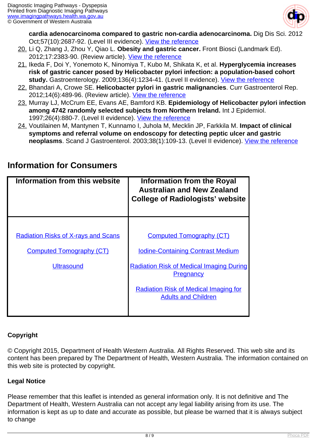

**cardia adenocarcinoma compared to gastric non-cardia adenocarcinoma.** Dig Dis Sci. 2012 Oct;57(10):2687-92. (Level III evidence). [View the reference](http://www.ncbi.nlm.nih.gov/pubmed/22484493)

- 20. Li Q, Zhang J, Zhou Y, Qiao L. **Obesity and gastric cancer.** Front Biosci (Landmark Ed). 2012;17:2383-90. (Review article). [View the reference](http://www.ncbi.nlm.nih.gov/pubmed/22652786)
- 21. Ikeda F, Doi Y, Yonemoto K, Ninomiya T, Kubo M, Shikata K, et al. **Hyperglycemia increases risk of gastric cancer posed by Helicobacter pylori infection: a population-based cohort** study. Gastroenterology. 2009;136(4):1234-41. (Level II evidence). [View the reference](http://www.ncbi.nlm.nih.gov/pubmed/19236964)
- 22. Bhandari A, Crowe SE. **Helicobacter pylori in gastric malignancies**. Curr Gastroenterol Rep. 2012;14(6):489-96. (Review article). [View the reference](http://www.ncbi.nlm.nih.gov/pubmed/23054813)
- 23. Murray LJ, McCrum EE, Evans AE, Bamford KB. **Epidemiology of Helicobacter pylori infection among 4742 randomly selected subjects from Northern Ireland.** Int J Epidemiol. 1997;26(4):880-7. (Level II evidence). [View the reference](http://www.ncbi.nlm.nih.gov/pubmed/9279623)
- 24. Voutilainen M, Mantynen T, Kunnamo I, Juhola M, Mecklin JP, Farkkila M. **Impact of clinical symptoms and referral volume on endoscopy for detecting peptic ulcer and gastric neoplasms**. Scand J Gastroenterol. 2003;38(1):109-13. (Level II evidence). <u>[View the reference](http://www.ncbi.nlm.nih.gov/pubmed/12613446)</u>

| Information from this website              | <b>Information from the Royal</b><br><b>Australian and New Zealand</b><br><b>College of Radiologists' website</b> |
|--------------------------------------------|-------------------------------------------------------------------------------------------------------------------|
|                                            |                                                                                                                   |
| <b>Radiation Risks of X-rays and Scans</b> | <b>Computed Tomography (CT)</b>                                                                                   |
| <b>Computed Tomography (CT)</b>            | <b>Iodine-Containing Contrast Medium</b>                                                                          |
| <b>Ultrasound</b>                          | <b>Radiation Risk of Medical Imaging During</b><br><b>Pregnancy</b>                                               |
|                                            | <b>Radiation Risk of Medical Imaging for</b><br><b>Adults and Children</b>                                        |
|                                            |                                                                                                                   |

### **Information for Consumers**

#### **Copyright**

© Copyright 2015, Department of Health Western Australia. All Rights Reserved. This web site and its content has been prepared by The Department of Health, Western Australia. The information contained on this web site is protected by copyright.

#### **Legal Notice**

Please remember that this leaflet is intended as general information only. It is not definitive and The Department of Health, Western Australia can not accept any legal liability arising from its use. The information is kept as up to date and accurate as possible, but please be warned that it is always subject to change